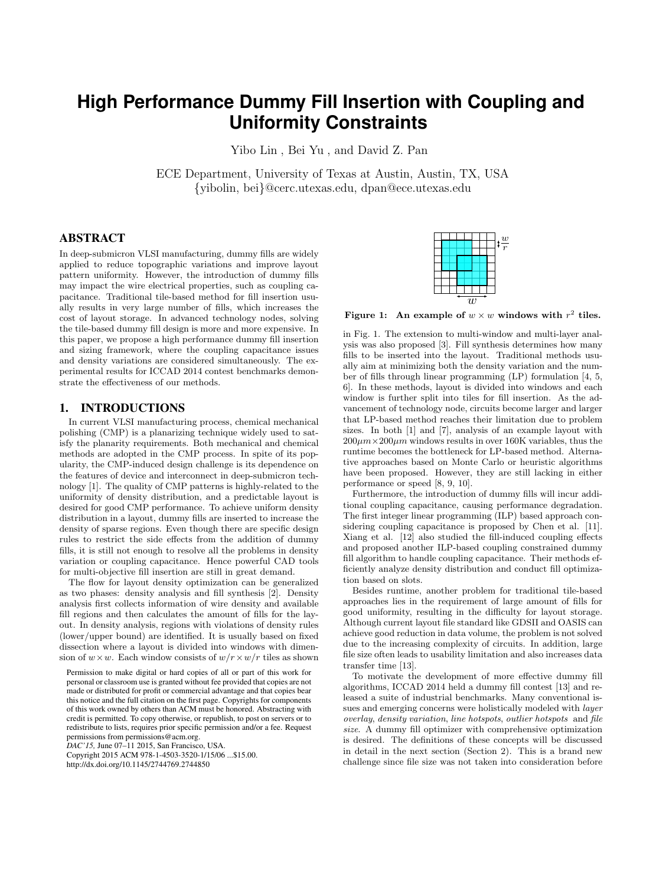# **High Performance Dummy Fill Insertion with Coupling and Uniformity Constraints**

Yibo Lin , Bei Yu , and David Z. Pan

ECE Department, University of Texas at Austin, Austin, TX, USA {yibolin, bei}@cerc.utexas.edu, dpan@ece.utexas.edu

# ABSTRACT

In deep-submicron VLSI manufacturing, dummy fills are widely applied to reduce topographic variations and improve layout pattern uniformity. However, the introduction of dummy fills may impact the wire electrical properties, such as coupling capacitance. Traditional tile-based method for fill insertion usually results in very large number of fills, which increases the cost of layout storage. In advanced technology nodes, solving the tile-based dummy fill design is more and more expensive. In this paper, we propose a high performance dummy fill insertion and sizing framework, where the coupling capacitance issues and density variations are considered simultaneously. The experimental results for ICCAD 2014 contest benchmarks demonstrate the effectiveness of our methods.

# 1. INTRODUCTIONS

In current VLSI manufacturing process, chemical mechanical polishing (CMP) is a planarizing technique widely used to satisfy the planarity requirements. Both mechanical and chemical methods are adopted in the CMP process. In spite of its popularity, the CMP-induced design challenge is its dependence on the features of device and interconnect in deep-submicron technology [1]. The quality of CMP patterns is highly-related to the uniformity of density distribution, and a predictable layout is desired for good CMP performance. To achieve uniform density distribution in a layout, dummy fills are inserted to increase the density of sparse regions. Even though there are specific design rules to restrict the side effects from the addition of dummy fills, it is still not enough to resolve all the problems in density variation or coupling capacitance. Hence powerful CAD tools for multi-objective fill insertion are still in great demand.

The flow for layout density optimization can be generalized as two phases: density analysis and fill synthesis [2]. Density analysis first collects information of wire density and available fill regions and then calculates the amount of fills for the layout. In density analysis, regions with violations of density rules (lower/upper bound) are identified. It is usually based on fixed dissection where a layout is divided into windows with dimension of  $w \times w$ . Each window consists of  $w/r \times w/r$  tiles as shown

Permission to make digital or hard copies of all or part of this work for personal or classroom use is granted without fee provided that copies are not made or distributed for profit or commercial advantage and that copies bear this notice and the full citation on the first page. Copyrights for components of this work owned by others than ACM must be honored. Abstracting with credit is permitted. To copy otherwise, or republish, to post on servers or to redistribute to lists, requires prior specific permission and/or a fee. Request permissions from permissions@acm.org.

*DAC'15,* June 07–11 2015, San Francisco, USA.

Copyright 2015 ACM 978-1-4503-3520-1/15/06 ...\$15.00. http://dx.doi.org/10.1145/2744769.2744850



Figure 1: An example of  $w \times w$  windows with  $r^2$  tiles.

in Fig. 1. The extension to multi-window and multi-layer analysis was also proposed [3]. Fill synthesis determines how many fills to be inserted into the layout. Traditional methods usually aim at minimizing both the density variation and the number of fills through linear programming (LP) formulation [4, 5, 6]. In these methods, layout is divided into windows and each window is further split into tiles for fill insertion. As the advancement of technology node, circuits become larger and larger that LP-based method reaches their limitation due to problem sizes. In both [1] and [7], analysis of an example layout with  $200\mu m \times 200\mu m$  windows results in over 160K variables, thus the runtime becomes the bottleneck for LP-based method. Alternative approaches based on Monte Carlo or heuristic algorithms have been proposed. However, they are still lacking in either performance or speed [8, 9, 10].

Furthermore, the introduction of dummy fills will incur additional coupling capacitance, causing performance degradation. The first integer linear programming (ILP) based approach considering coupling capacitance is proposed by Chen et al. [11]. Xiang et al. [12] also studied the fill-induced coupling effects and proposed another ILP-based coupling constrained dummy fill algorithm to handle coupling capacitance. Their methods efficiently analyze density distribution and conduct fill optimization based on slots.

Besides runtime, another problem for traditional tile-based approaches lies in the requirement of large amount of fills for good uniformity, resulting in the difficulty for layout storage. Although current layout file standard like GDSII and OASIS can achieve good reduction in data volume, the problem is not solved due to the increasing complexity of circuits. In addition, large file size often leads to usability limitation and also increases data transfer time [13].

To motivate the development of more effective dummy fill algorithms, ICCAD 2014 held a dummy fill contest [13] and released a suite of industrial benchmarks. Many conventional issues and emerging concerns were holistically modeled with layer overlay, density variation, line hotspots, outlier hotspots and file size. A dummy fill optimizer with comprehensive optimization is desired. The definitions of these concepts will be discussed in detail in the next section (Section 2). This is a brand new challenge since file size was not taken into consideration before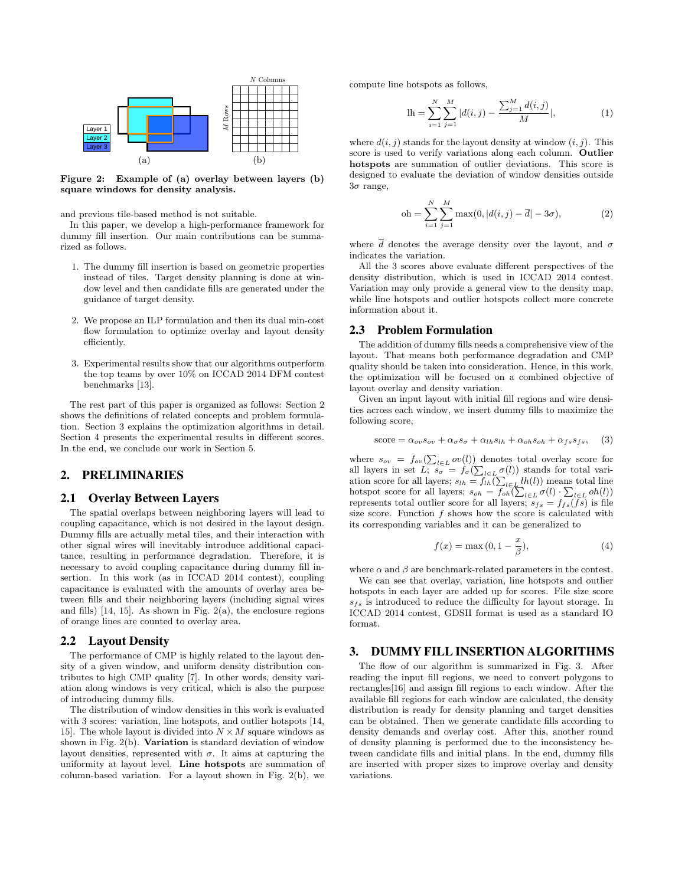

Figure 2: Example of (a) overlay between layers (b) square windows for density analysis.

and previous tile-based method is not suitable.

In this paper, we develop a high-performance framework for dummy fill insertion. Our main contributions can be summarized as follows.

- 1. The dummy fill insertion is based on geometric properties instead of tiles. Target density planning is done at window level and then candidate fills are generated under the guidance of target density.
- 2. We propose an ILP formulation and then its dual min-cost flow formulation to optimize overlay and layout density efficiently.
- 3. Experimental results show that our algorithms outperform the top teams by over 10% on ICCAD 2014 DFM contest benchmarks [13].

The rest part of this paper is organized as follows: Section 2 shows the definitions of related concepts and problem formulation. Section 3 explains the optimization algorithms in detail. Section 4 presents the experimental results in different scores. In the end, we conclude our work in Section 5.

# 2. PRELIMINARIES

## 2.1 Overlay Between Layers

The spatial overlaps between neighboring layers will lead to coupling capacitance, which is not desired in the layout design. Dummy fills are actually metal tiles, and their interaction with other signal wires will inevitably introduce additional capacitance, resulting in performance degradation. Therefore, it is necessary to avoid coupling capacitance during dummy fill insertion. In this work (as in ICCAD 2014 contest), coupling capacitance is evaluated with the amounts of overlay area between fills and their neighboring layers (including signal wires and fills) [14, 15]. As shown in Fig. 2(a), the enclosure regions of orange lines are counted to overlay area.

#### 2.2 Layout Density

The performance of CMP is highly related to the layout density of a given window, and uniform density distribution contributes to high CMP quality [7]. In other words, density variation along windows is very critical, which is also the purpose of introducing dummy fills.

The distribution of window densities in this work is evaluated with 3 scores: variation, line hotspots, and outlier hotspots [14, 15. The whole layout is divided into  $N \times M$  square windows as shown in Fig. 2(b). Variation is standard deviation of window layout densities, represented with  $\sigma$ . It aims at capturing the uniformity at layout level. Line hotspots are summation of column-based variation. For a layout shown in Fig. 2(b), we compute line hotspots as follows,

$$
\mathrm{lh} = \sum_{i=1}^{N} \sum_{j=1}^{M} |d(i,j) - \frac{\sum_{j=1}^{M} d(i,j)}{M}|, \tag{1}
$$

where  $d(i, j)$  stands for the layout density at window  $(i, j)$ . This score is used to verify variations along each column. Outlier hotspots are summation of outlier deviations. This score is designed to evaluate the deviation of window densities outside  $3\sigma$  range,

$$
oh = \sum_{i=1}^{N} \sum_{j=1}^{M} \max(0, |d(i,j) - \overline{d}| - 3\sigma),
$$
 (2)

where  $\overline{d}$  denotes the average density over the layout, and  $\sigma$ indicates the variation.

All the 3 scores above evaluate different perspectives of the density distribution, which is used in ICCAD 2014 contest. Variation may only provide a general view to the density map, while line hotspots and outlier hotspots collect more concrete information about it.

## 2.3 Problem Formulation

The addition of dummy fills needs a comprehensive view of the layout. That means both performance degradation and CMP quality should be taken into consideration. Hence, in this work, the optimization will be focused on a combined objective of layout overlay and density variation.

Given an input layout with initial fill regions and wire densities across each window, we insert dummy fills to maximize the following score,

score = 
$$
\alpha_{ov}s_{ov} + \alpha_{\sigma}s_{\sigma} + \alpha_{lh}s_{lh} + \alpha_{oh}s_{oh} + \alpha_{fs}s_{fs}
$$
, (3)

where  $s_{ov} = f_{ov}(\sum_{l \in L} ov(l))$  denotes total overlay score for all layers in set L;  $s_{\sigma} = f_{\sigma}(\sum_{l \in L} \sigma(l))$  stands for total variation score for all layers;  $s_{lh} = f_{lh}(\sum_{l \in L} lh(l))$  means total line hotspot score for all layers;  $s_{oh} = f_{oh}(\sum_{l \in L} \sigma(l) \cdot \sum_{l \in L} oh(l))$ represents total outlier score for all layers;  $s_{fs} = f_{fs}(fs)$  is file size score. Function  $f$  shows how the score is calculated with its corresponding variables and it can be generalized to

$$
f(x) = \max(0, 1 - \frac{x}{\beta}),\tag{4}
$$

where  $\alpha$  and  $\beta$  are benchmark-related parameters in the contest.

We can see that overlay, variation, line hotspots and outlier hotspots in each layer are added up for scores. File size score  $s_{fs}$  is introduced to reduce the difficulty for layout storage. In ICCAD 2014 contest, GDSII format is used as a standard IO format.

#### 3. DUMMY FILL INSERTION ALGORITHMS

The flow of our algorithm is summarized in Fig. 3. After reading the input fill regions, we need to convert polygons to rectangles[16] and assign fill regions to each window. After the available fill regions for each window are calculated, the density distribution is ready for density planning and target densities can be obtained. Then we generate candidate fills according to density demands and overlay cost. After this, another round of density planning is performed due to the inconsistency between candidate fills and initial plans. In the end, dummy fills are inserted with proper sizes to improve overlay and density variations.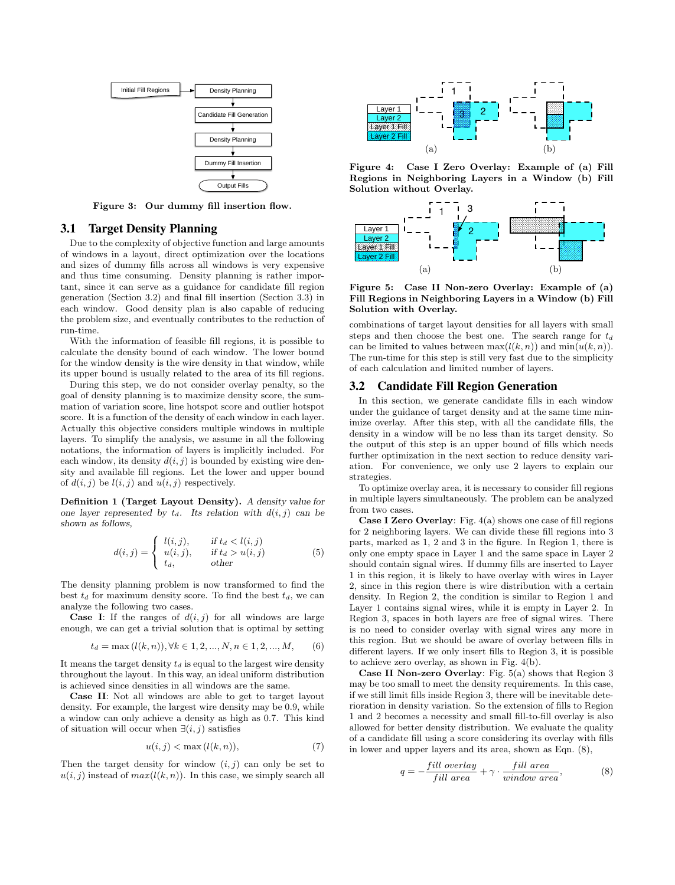

Figure 3: Our dummy fill insertion flow.

## 3.1 Target Density Planning

Due to the complexity of objective function and large amounts of windows in a layout, direct optimization over the locations and sizes of dummy fills across all windows is very expensive and thus time consuming. Density planning is rather important, since it can serve as a guidance for candidate fill region generation (Section 3.2) and final fill insertion (Section 3.3) in each window. Good density plan is also capable of reducing the problem size, and eventually contributes to the reduction of run-time.

With the information of feasible fill regions, it is possible to calculate the density bound of each window. The lower bound for the window density is the wire density in that window, while its upper bound is usually related to the area of its fill regions.

During this step, we do not consider overlay penalty, so the goal of density planning is to maximize density score, the summation of variation score, line hotspot score and outlier hotspot score. It is a function of the density of each window in each layer. Actually this objective considers multiple windows in multiple layers. To simplify the analysis, we assume in all the following notations, the information of layers is implicitly included. For each window, its density  $d(i, j)$  is bounded by existing wire density and available fill regions. Let the lower and upper bound of  $d(i, j)$  be  $l(i, j)$  and  $u(i, j)$  respectively.

Definition 1 (Target Layout Density). A density value for one layer represented by  $t_d$ . Its relation with  $d(i, j)$  can be shown as follows,

$$
d(i,j) = \begin{cases} l(i,j), & \text{if } t_d < l(i,j) \\ u(i,j), & \text{if } t_d > u(i,j) \\ t_d, & \text{other} \end{cases} \tag{5}
$$

The density planning problem is now transformed to find the best  $t_d$  for maximum density score. To find the best  $t_d$ , we can analyze the following two cases.

**Case I:** If the ranges of  $d(i, j)$  for all windows are large enough, we can get a trivial solution that is optimal by setting

$$
t_d = \max(l(k, n)), \forall k \in 1, 2, ..., N, n \in 1, 2, ..., M,
$$
 (6)

It means the target density  $t_d$  is equal to the largest wire density throughout the layout. In this way, an ideal uniform distribution is achieved since densities in all windows are the same.

Case II: Not all windows are able to get to target layout density. For example, the largest wire density may be 0.9, while a window can only achieve a density as high as 0.7. This kind of situation will occur when  $\exists (i, j)$  satisfies

$$
u(i,j) < \max(l(k,n)),\tag{7}
$$

Then the target density for window  $(i, j)$  can only be set to  $u(i, j)$  instead of  $max(l(k, n))$ . In this case, we simply search all



Figure 4: Case I Zero Overlay: Example of (a) Fill Regions in Neighboring Layers in a Window (b) Fill Solution without Overlay.



Figure 5: Case II Non-zero Overlay: Example of (a) Fill Regions in Neighboring Layers in a Window (b) Fill Solution with Overlay.

combinations of target layout densities for all layers with small steps and then choose the best one. The search range for  $t_d$ can be limited to values between  $\max(l(k,n))$  and  $\min(u(k,n))$ . The run-time for this step is still very fast due to the simplicity of each calculation and limited number of layers.

#### 3.2 Candidate Fill Region Generation

In this section, we generate candidate fills in each window under the guidance of target density and at the same time minimize overlay. After this step, with all the candidate fills, the density in a window will be no less than its target density. So the output of this step is an upper bound of fills which needs further optimization in the next section to reduce density variation. For convenience, we only use 2 layers to explain our strategies.

To optimize overlay area, it is necessary to consider fill regions in multiple layers simultaneously. The problem can be analyzed from two cases.

Case I Zero Overlay: Fig. 4(a) shows one case of fill regions for 2 neighboring layers. We can divide these fill regions into 3 parts, marked as 1, 2 and 3 in the figure. In Region 1, there is only one empty space in Layer 1 and the same space in Layer 2 should contain signal wires. If dummy fills are inserted to Layer 1 in this region, it is likely to have overlay with wires in Layer 2, since in this region there is wire distribution with a certain density. In Region 2, the condition is similar to Region 1 and Layer 1 contains signal wires, while it is empty in Layer 2. In Region 3, spaces in both layers are free of signal wires. There is no need to consider overlay with signal wires any more in this region. But we should be aware of overlay between fills in different layers. If we only insert fills to Region 3, it is possible to achieve zero overlay, as shown in Fig. 4(b).

Case II Non-zero Overlay: Fig. 5(a) shows that Region 3 may be too small to meet the density requirements. In this case, if we still limit fills inside Region 3, there will be inevitable deterioration in density variation. So the extension of fills to Region 1 and 2 becomes a necessity and small fill-to-fill overlay is also allowed for better density distribution. We evaluate the quality of a candidate fill using a score considering its overlay with fills in lower and upper layers and its area, shown as Eqn. (8),

$$
q = -\frac{fill\ overlay}{fill\ area} + \gamma \cdot \frac{fill\ area}{window\ area},\tag{8}
$$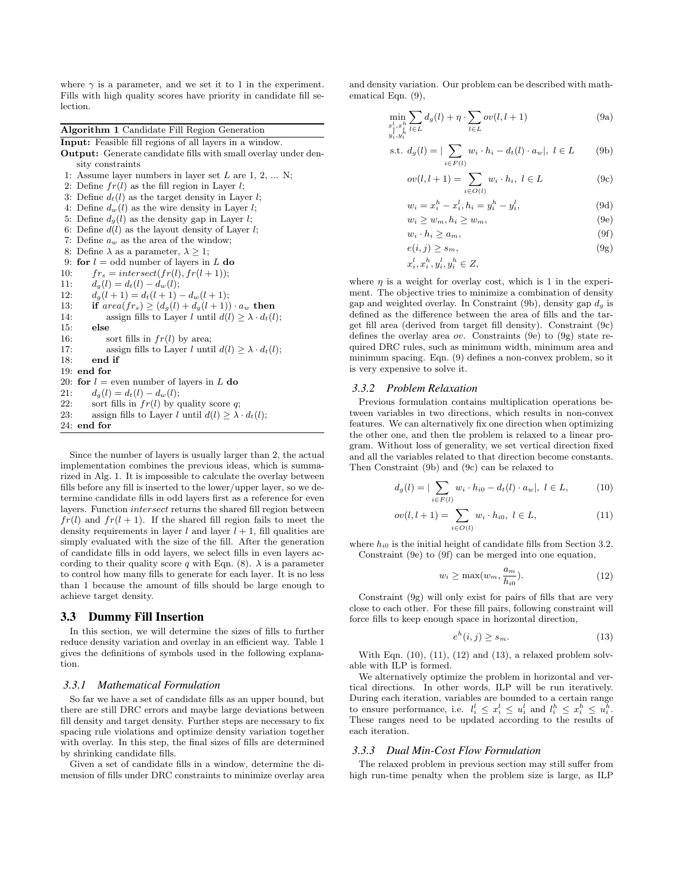where  $\gamma$  is a parameter, and we set it to 1 in the experiment. Fills with high quality scores have priority in candidate fill selection.

| <b>Algorithm 1</b> Candidate Fill Region Generation                     |
|-------------------------------------------------------------------------|
| <b>Input:</b> Feasible fill regions of all layers in a window.          |
| <b>Output:</b> Generate candidate fills with small overlay under den-   |
| sity constraints                                                        |
| 1: Assume layer numbers in layer set $L$ are $1, 2,  N$ ;               |
| 2: Define $fr(l)$ as the fill region in Layer l;                        |
| 3: Define $d_t(l)$ as the target density in Layer l;                    |
| 4: Define $d_w(l)$ as the wire density in Layer l;                      |
| 5: Define $d_q(l)$ as the density gap in Layer l;                       |
| 6: Define $d(l)$ as the layout density of Layer l;                      |
| 7: Define $a_w$ as the area of the window;                              |
| Define $\lambda$ as a parameter, $\lambda \geq 1$ ;<br>8:               |
| for $l =$ odd number of layers in L do<br>9:                            |
| $fr_s = intersect(fr(l), fr(l+1));$<br>10:                              |
| $d_a(l) = d_t(l) - d_w(l);$<br>11:                                      |
| $d_a(l+1) = d_t(l+1) - d_w(l+1);$<br>12:                                |
| if $area(fr_s) \geq (d_g(l) + d_g(l+1)) \cdot a_w$ then<br>13:          |
| assign fills to Layer l until $d(l) \geq \lambda \cdot d_t(l)$ ;<br>14: |
| else<br>15:                                                             |
| 16:<br>sort fills in $fr(l)$ by area;                                   |
| assign fills to Layer l until $d(l) \geq \lambda \cdot d_t(l)$ ;<br>17: |
| end if<br>18:                                                           |
| 19:<br>end for                                                          |
| 20:<br>for $l =$ even number of layers in L do                          |
| $d_a(l) = d_t(l) - d_w(l);$<br>21:                                      |
| sort fills in $fr(l)$ by quality score q;<br>22:                        |
| assign fills to Layer l until $d(l) \geq \lambda \cdot d_t(l)$ ;<br>23: |
| $24:$ end for                                                           |

Since the number of layers is usually larger than 2, the actual implementation combines the previous ideas, which is summarized in Alg. 1. It is impossible to calculate the overlay between fills before any fill is inserted to the lower/upper layer, so we determine candidate fills in odd layers first as a reference for even layers. Function intersect returns the shared fill region between  $fr(l)$  and  $fr(l + 1)$ . If the shared fill region fails to meet the density requirements in layer  $l$  and layer  $l + 1$ , fill qualities are simply evaluated with the size of the fill. After the generation of candidate fills in odd layers, we select fills in even layers according to their quality score q with Eqn. (8).  $\lambda$  is a parameter to control how many fills to generate for each layer. It is no less than 1 because the amount of fills should be large enough to achieve target density.

#### 3.3 Dummy Fill Insertion

In this section, we will determine the sizes of fills to further reduce density variation and overlay in an efficient way. Table 1 gives the definitions of symbols used in the following explanation.

#### *3.3.1 Mathematical Formulation*

So far we have a set of candidate fills as an upper bound, but there are still DRC errors and maybe large deviations between fill density and target density. Further steps are necessary to fix spacing rule violations and optimize density variation together with overlay. In this step, the final sizes of fills are determined by shrinking candidate fills.

Given a set of candidate fills in a window, determine the dimension of fills under DRC constraints to minimize overlay area and density variation. Our problem can be described with mathematical Eqn. (9),

$$
\min_{\substack{x_i^l, x_i^h \\ y_i^l, y_i^h}} \sum_{l \in L} d_g(l) + \eta \cdot \sum_{l \in L} ov(l, l+1) \tag{9a}
$$

$$
\text{s.t. } d_g(l) = \left| \sum_{i \in F(l)} w_i \cdot h_i - d_t(l) \cdot a_w \right|, \ l \in L \tag{9b}
$$

$$
ov(l, l+1) = \sum_{i \in O(l)} w_i \cdot h_i, \ l \in L \tag{9c}
$$

$$
w_i = x_i^h - x_i^l, h_i = y_i^h - y_i^l,
$$
\n(9d)

$$
w_i \ge w_m, h_i \ge w_m,\tag{9e}
$$

$$
w_i \cdot h_i \ge a_m,\tag{9f}
$$

$$
e(i,j) \ge s_m,\tag{9g}
$$

 $x_i^l, x_i^h, y_i^l, y_i^h \in Z$ ,

where  $\eta$  is a weight for overlay cost, which is 1 in the experiment. The objective tries to minimize a combination of density gap and weighted overlay. In Constraint (9b), density gap  $d<sub>q</sub>$  is defined as the difference between the area of fills and the target fill area (derived from target fill density). Constraint (9c) defines the overlay area *ov*. Constraints (9e) to (9g) state required DRC rules, such as minimum width, minimum area and minimum spacing. Eqn. (9) defines a non-convex problem, so it is very expensive to solve it.

#### *3.3.2 Problem Relaxation*

Previous formulation contains multiplication operations between variables in two directions, which results in non-convex features. We can alternatively fix one direction when optimizing the other one, and then the problem is relaxed to a linear program. Without loss of generality, we set vertical direction fixed and all the variables related to that direction become constants. Then Constraint (9b) and (9c) can be relaxed to

$$
d_g(l) = |\sum_{i \in F(l)} w_i \cdot h_{i0} - d_t(l) \cdot a_w|, \ l \in L,
$$
 (10)

$$
ov(l, l+1) = \sum_{i \in O(l)} w_i \cdot h_{i0}, \ l \in L,
$$
\n(11)

where  $h_{i0}$  is the initial height of candidate fills from Section 3.2. Constraint (9e) to (9f) can be merged into one equation,

$$
w_i \ge \max(w_m, \frac{a_m}{h_{i0}}). \tag{12}
$$

Constraint (9g) will only exist for pairs of fills that are very close to each other. For these fill pairs, following constraint will force fills to keep enough space in horizontal direction,

$$
e^h(i,j) \ge s_m. \tag{13}
$$

With Eqn.  $(10)$ ,  $(11)$ ,  $(12)$  and  $(13)$ , a relaxed problem solvable with ILP is formed.

We alternatively optimize the problem in horizontal and vertical directions. In other words, ILP will be run iteratively. During each iteration, variables are bounded to a certain range to ensure performance, i.e.  $l_i^l \leq x_i^l \leq u_i^l$  and  $l_i^h \leq x_i^h \leq u_i^h$ . These ranges need to be updated according to the results of each iteration.

#### *3.3.3 Dual Min-Cost Flow Formulation*

The relaxed problem in previous section may still suffer from high run-time penalty when the problem size is large, as ILP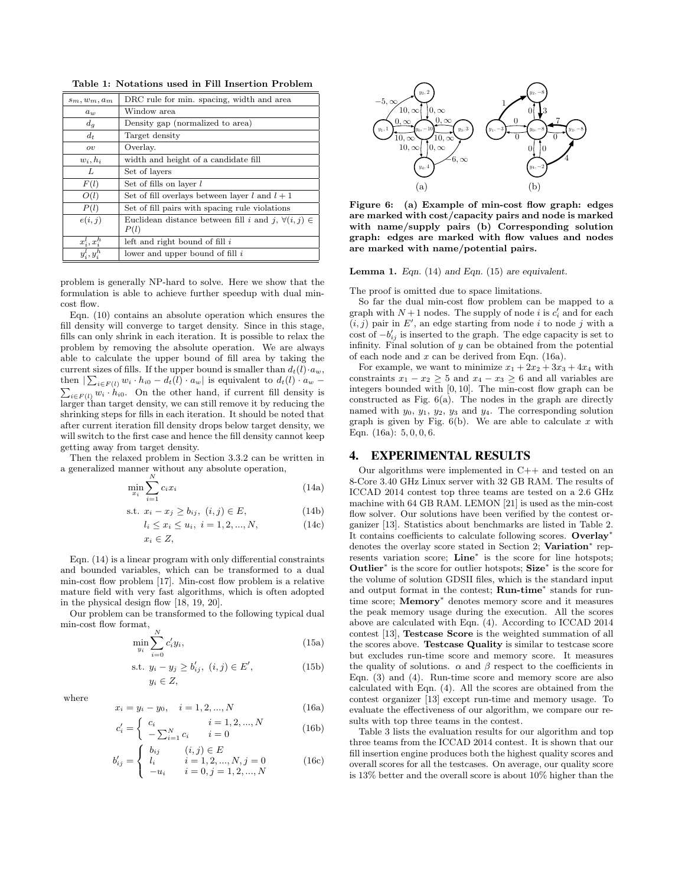Table 1: Notations used in Fill Insertion Problem

| $s_m, w_m, a_m$            | DRC rule for min. spacing, width and area                             |
|----------------------------|-----------------------------------------------------------------------|
| $a_w$                      | Window area                                                           |
| $d_q$                      | Density gap (normalized to area)                                      |
| $d_t$                      | Target density                                                        |
| ov                         | Overlay.                                                              |
| $w_i, h_i$                 | width and height of a candidate fill                                  |
| L                          | Set of layers                                                         |
| F(l)                       | Set of fills on layer $l$                                             |
| O(l)                       | Set of fill overlays between layer l and $l+1$                        |
| P(l)                       | Set of fill pairs with spacing rule violations                        |
| e(i, j)                    | Euclidean distance between fill i and j, $\forall (i, j) \in$<br>P(l) |
|                            |                                                                       |
| $x_i^l, x_i^h$             | left and right bound of fill $i$                                      |
| $y_i^{\iota}, y_i^{\iota}$ | lower and upper bound of fill $i$                                     |

problem is generally NP-hard to solve. Here we show that the formulation is able to achieve further speedup with dual mincost flow.

Eqn. (10) contains an absolute operation which ensures the fill density will converge to target density. Since in this stage, fills can only shrink in each iteration. It is possible to relax the problem by removing the absolute operation. We are always able to calculate the upper bound of fill area by taking the current sizes of fills. If the upper bound is smaller than  $d_t(l) \cdot a_w$ , then  $|\sum_{i \in F(l)} w_i \cdot h_{i0} - d_t(l) \cdot a_w|$  is equivalent to  $d_t(l) \cdot a_w$  $\sum_{i\in F(l)} w_i \cdot h_{i0}$ . On the other hand, if current fill density is larger than target density, we can still remove it by reducing the shrinking steps for fills in each iteration. It should be noted that after current iteration fill density drops below target density, we will switch to the first case and hence the fill density cannot keep getting away from target density.

Then the relaxed problem in Section 3.3.2 can be written in a generalized manner without any absolute operation,

$$
\min_{x_i} \sum_{i=1}^{N} c_i x_i \tag{14a}
$$

s.t. 
$$
x_i - x_j \ge b_{ij}, (i, j) \in E,
$$
 (14b)

$$
l_i \le x_i \le u_i, \ i = 1, 2, ..., N,
$$
 (14c)

 $x_i \in Z$ ,

Eqn. (14) is a linear program with only differential constraints and bounded variables, which can be transformed to a dual min-cost flow problem [17]. Min-cost flow problem is a relative mature field with very fast algorithms, which is often adopted in the physical design flow [18, 19, 20].

Our problem can be transformed to the following typical dual min-cost flow format,

$$
\min_{y_i} \sum_{i=0}^{N} c'_i y_i,\tag{15a}
$$

s.t. 
$$
y_i - y_j \ge b'_{ij}
$$
,  $(i, j) \in E'$ ,   
\n $y_i \in Z$ ,  $(15b)$ 

where

$$
x_i = y_i - y_0, \quad i = 1, 2, ..., N
$$
 (16a)

$$
c'_{i} = \begin{cases} c_{i} & i = 1, 2, ..., N \\ -\sum_{i=1}^{N} c_{i} & i = 0 \end{cases}
$$
 (16b)

$$
b'_{ij} = \begin{cases} b_{ij} & (i,j) \in E \\ l_i & i = 1, 2, ..., N, j = 0 \\ -u_i & i = 0, j = 1, 2, ..., N \end{cases}
$$
 (16c)



Figure 6: (a) Example of min-cost flow graph: edges are marked with cost/capacity pairs and node is marked with name/supply pairs (b) Corresponding solution graph: edges are marked with flow values and nodes are marked with name/potential pairs.

#### **Lemma 1.** Eqn.  $(14)$  and Eqn.  $(15)$  are equivalent.

The proof is omitted due to space limitations.

So far the dual min-cost flow problem can be mapped to a graph with  $N+1$  nodes. The supply of node *i* is  $c'_i$  and for each  $(i, j)$  pair in E', an edge starting from node i to node j with a cost of  $-b'_{ij}$  is inserted to the graph. The edge capacity is set to infinity. Final solution of  $y$  can be obtained from the potential of each node and  $x$  can be derived from Eqn. (16a).

For example, we want to minimize  $x_1 + 2x_2 + 3x_3 + 4x_4$  with constraints  $x_1 - x_2 \geq 5$  and  $x_4 - x_3 \geq 6$  and all variables are integers bounded with [0, 10]. The min-cost flow graph can be constructed as Fig. 6(a). The nodes in the graph are directly named with  $y_0, y_1, y_2, y_3$  and  $y_4$ . The corresponding solution graph is given by Fig.  $6(b)$ . We are able to calculate x with Eqn. (16a): 5, 0, 0, 6.

## 4. EXPERIMENTAL RESULTS

Our algorithms were implemented in C++ and tested on an 8-Core 3.40 GHz Linux server with 32 GB RAM. The results of ICCAD 2014 contest top three teams are tested on a 2.6 GHz machine with 64 GB RAM. LEMON [21] is used as the min-cost flow solver. Our solutions have been verified by the contest organizer [13]. Statistics about benchmarks are listed in Table 2. It contains coefficients to calculate following scores. Overlay<sup>∗</sup> denotes the overlay score stated in Section 2; Variation<sup>∗</sup> represents variation score; Line<sup>∗</sup> is the score for line hotspots; Outlier<sup>∗</sup> is the score for outlier hotspots; Size<sup>∗</sup> is the score for the volume of solution GDSII files, which is the standard input and output format in the contest; **Run-time**<sup>∗</sup> stands for runtime score; Memory<sup>∗</sup> denotes memory score and it measures the peak memory usage during the execution. All the scores above are calculated with Eqn. (4). According to ICCAD 2014 contest [13], Testcase Score is the weighted summation of all the scores above. Testcase Quality is similar to testcase score but excludes run-time score and memory score. It measures the quality of solutions.  $\alpha$  and  $\beta$  respect to the coefficients in Eqn. (3) and (4). Run-time score and memory score are also calculated with Eqn. (4). All the scores are obtained from the contest organizer [13] except run-time and memory usage. To evaluate the effectiveness of our algorithm, we compare our results with top three teams in the contest.

Table 3 lists the evaluation results for our algorithm and top three teams from the ICCAD 2014 contest. It is shown that our fill insertion engine produces both the highest quality scores and overall scores for all the testcases. On average, our quality score is 13% better and the overall score is about 10% higher than the